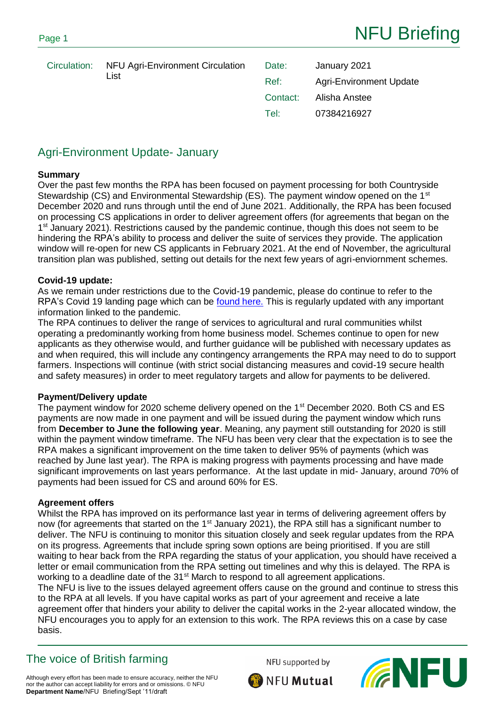|  | Circulation: NFU Agri-Environment Circulation<br>List | Date:    | January 2021                   |
|--|-------------------------------------------------------|----------|--------------------------------|
|  |                                                       | Ref:     | <b>Agri-Environment Update</b> |
|  |                                                       | Contact: | Alisha Anstee                  |
|  |                                                       | Tel:     | 07384216927                    |

# Agri-Environment Update- January

### **Summary**

Over the past few months the RPA has been focused on payment processing for both Countryside Stewardship (CS) and Environmental Stewardship (ES). The payment window opened on the 1<sup>st</sup> December 2020 and runs through until the end of June 2021. Additionally, the RPA has been focused on processing CS applications in order to deliver agreement offers (for agreements that began on the 1<sup>st</sup> January 2021). Restrictions caused by the pandemic continue, though this does not seem to be hindering the RPA's ability to process and deliver the suite of services they provide. The application window will re-open for new CS applicants in February 2021. At the end of November, the agricultural transition plan was published, setting out details for the next few years of agri-enviornment schemes.

### **Covid-19 update:**

As we remain under restrictions due to the Covid-19 pandemic, please do continue to refer to the RPA's Covid 19 landing page which can be [found here.](https://www.gov.uk/guidance/coronavirus-covid-19-information-for-farmers-landowners-and-rural-businesses) This is regularly updated with any important information linked to the pandemic.

The RPA continues to deliver the range of services to agricultural and rural communities whilst operating a predominantly working from home business model. Schemes continue to open for new applicants as they otherwise would, and further guidance will be published with necessary updates as and when required, this will include any contingency arrangements the RPA may need to do to support farmers. Inspections will continue (with strict social distancing measures and covid-19 secure health and safety measures) in order to meet regulatory targets and allow for payments to be delivered.

### **Payment/Delivery update**

The payment window for 2020 scheme delivery opened on the 1<sup>st</sup> December 2020. Both CS and ES payments are now made in one payment and will be issued during the payment window which runs from **December to June the following year**. Meaning, any payment still outstanding for 2020 is still within the payment window timeframe. The NFU has been very clear that the expectation is to see the RPA makes a significant improvement on the time taken to deliver 95% of payments (which was reached by June last year). The RPA is making progress with payments processing and have made significant improvements on last years performance. At the last update in mid- January, around 70% of payments had been issued for CS and around 60% for ES.

### **Agreement offers**

Whilst the RPA has improved on its performance last year in terms of delivering agreement offers by now (for agreements that started on the  $1<sup>st</sup>$  January 2021), the RPA still has a significant number to deliver. The NFU is continuing to monitor this situation closely and seek regular updates from the RPA on its progress. Agreements that include spring sown options are being prioritised. If you are still waiting to hear back from the RPA regarding the status of your application, you should have received a letter or email communication from the RPA setting out timelines and why this is delayed. The RPA is working to a deadline date of the 31<sup>st</sup> March to respond to all agreement applications.

The NFU is live to the issues delayed agreement offers cause on the ground and continue to stress this to the RPA at all levels. If you have capital works as part of your agreement and receive a late agreement offer that hinders your ability to deliver the capital works in the 2-year allocated window, the NFU encourages you to apply for an extension to this work. The RPA reviews this on a case by case basis.

# The voice of British farming

NFU supported by



Although every effort has been made to ensure accuracy, neither the NFU nor the author can accept liability for errors and or omissions. © NFU **Department Name**/NFU Briefing/Sept '11/draft

NFU Mutual